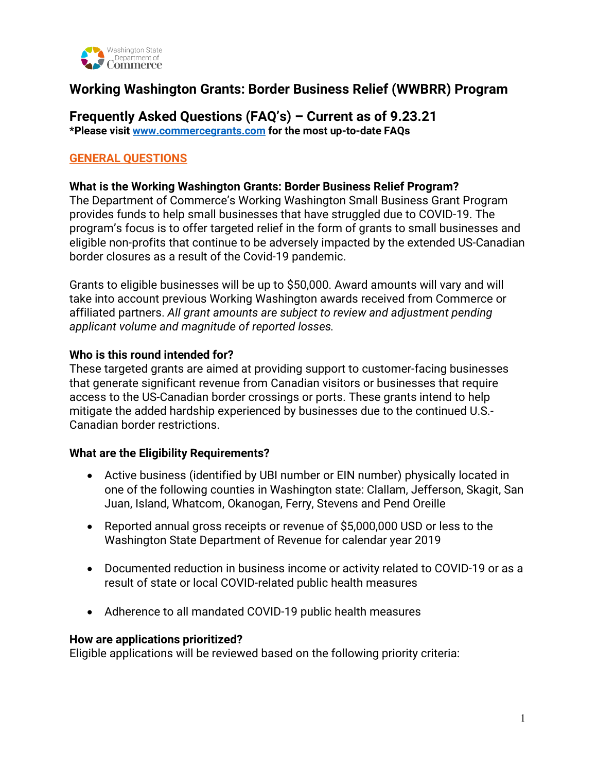

# **Working Washington Grants: Border Business Relief (WWBRR) Program**

### **Frequently Asked Questions (FAQ's) – Current as of 9.23.21 \*Please visit [www.commercegrants.com](http://www.commercegrants.com/) for the most up-to-date FAQs**

# **GENERAL QUESTIONS**

#### **What is the Working Washington Grants: Border Business Relief Program?**

The Department of Commerce's Working Washington Small Business Grant Program provides funds to help small businesses that have struggled due to COVID-19. The program's focus is to offer targeted relief in the form of grants to small businesses and eligible non-profits that continue to be adversely impacted by the extended US-Canadian border closures as a result of the Covid-19 pandemic.

Grants to eligible businesses will be up to \$50,000. Award amounts will vary and will take into account previous Working Washington awards received from Commerce or affiliated partners. *All grant amounts are subject to review and adjustment pending applicant volume and magnitude of reported losses.*

#### **Who is this round intended for?**

These targeted grants are aimed at providing support to customer-facing businesses that generate significant revenue from Canadian visitors or businesses that require access to the US-Canadian border crossings or ports. These grants intend to help mitigate the added hardship experienced by businesses due to the continued U.S.- Canadian border restrictions.

### **What are the Eligibility Requirements?**

- Active business (identified by UBI number or EIN number) physically located in one of the following counties in Washington state: Clallam, Jefferson, Skagit, San Juan, Island, Whatcom, Okanogan, Ferry, Stevens and Pend Oreille
- Reported annual gross receipts or revenue of \$5,000,000 USD or less to the Washington State Department of Revenue for calendar year 2019
- Documented reduction in business income or activity related to COVID-19 or as a result of state or local COVID-related public health measures
- Adherence to all mandated COVID-19 public health measures

#### **How are applications prioritized?**

Eligible applications will be reviewed based on the following priority criteria: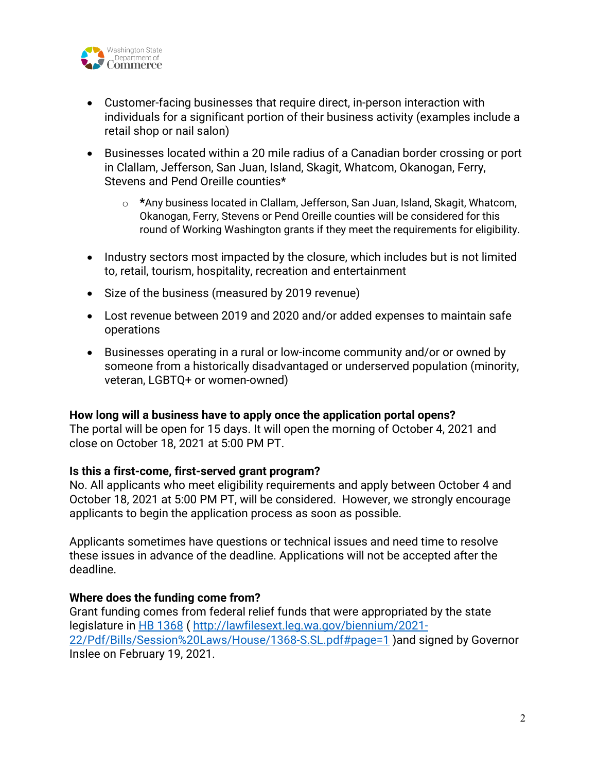

- Customer-facing businesses that require direct, in-person interaction with individuals for a significant portion of their business activity (examples include a retail shop or nail salon)
- Businesses located within a 20 mile radius of a Canadian border crossing or port in Clallam, Jefferson, San Juan, Island, Skagit, Whatcom, Okanogan, Ferry, Stevens and Pend Oreille counties\*
	- o **\***Any business located in Clallam, Jefferson, San Juan, Island, Skagit, Whatcom, Okanogan, Ferry, Stevens or Pend Oreille counties will be considered for this round of Working Washington grants if they meet the requirements for eligibility.
- Industry sectors most impacted by the closure, which includes but is not limited to, retail, tourism, hospitality, recreation and entertainment
- Size of the business (measured by 2019 revenue)
- Lost revenue between 2019 and 2020 and/or added expenses to maintain safe operations
- Businesses operating in a rural or low-income community and/or or owned by someone from a historically disadvantaged or underserved population (minority, veteran, LGBTQ+ or women-owned)

### **How long will a business have to apply once the application portal opens?**

The portal will be open for 15 days. It will open the morning of October 4, 2021 and close on October 18, 2021 at 5:00 PM PT.

### **Is this a first-come, first-served grant program?**

No. All applicants who meet eligibility requirements and apply between October 4 and October 18, 2021 at 5:00 PM PT, will be considered. However, we strongly encourage applicants to begin the application process as soon as possible.

Applicants sometimes have questions or technical issues and need time to resolve these issues in advance of the deadline. Applications will not be accepted after the deadline.

# **Where does the funding come from?**

Grant funding comes from federal relief funds that were appropriated by the state legislature in [HB 1368](http://lawfilesext.leg.wa.gov/biennium/2021-22/Pdf/Bills/Session%20Laws/House/1368-S.SL.pdf#page=1) ( [http://lawfilesext.leg.wa.gov/biennium/2021-](http://lawfilesext.leg.wa.gov/biennium/2021-22/Pdf/Bills/Session%20Laws/House/1368-S.SL.pdf#page=1) [22/Pdf/Bills/Session%20Laws/House/1368-S.SL.pdf#page=1](http://lawfilesext.leg.wa.gov/biennium/2021-22/Pdf/Bills/Session%20Laws/House/1368-S.SL.pdf#page=1) )and signed by Governor Inslee on February 19, 2021.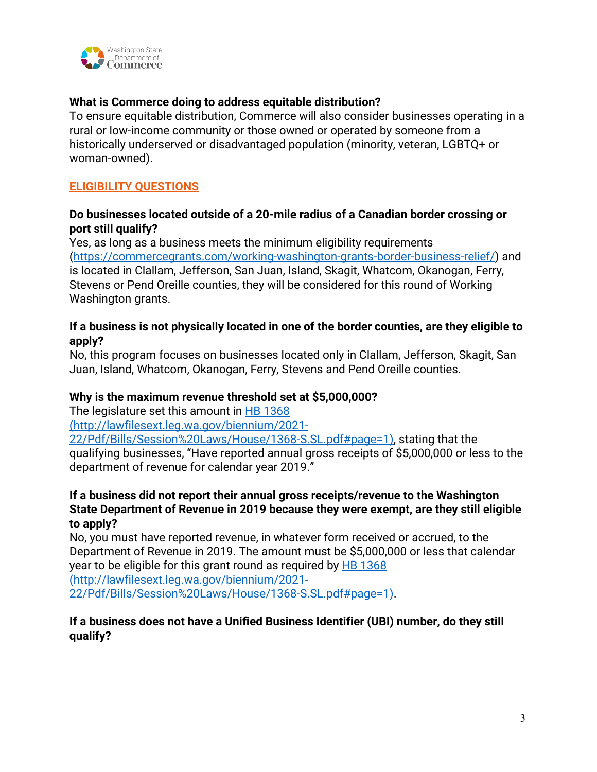

# **What is Commerce doing to address equitable distribution?**

To ensure equitable distribution, Commerce will also consider businesses operating in a rural or low-income community or those owned or operated by someone from a historically underserved or disadvantaged population (minority, veteran, LGBTQ+ or woman-owned).

# **ELIGIBILITY QUESTIONS**

### **Do businesses located outside of a 20-mile radius of a Canadian border crossing or port still qualify?**

Yes, as long as a business meets the minimum eligibility requirements [\(https://commercegrants.com/working-washington-grants-border-business-relief/\)](https://commercegrants.com/working-washington-grants-border-business-relief/) and is located in Clallam, Jefferson, San Juan, Island, Skagit, Whatcom, Okanogan, Ferry, Stevens or Pend Oreille counties, they will be considered for this round of Working Washington grants.

# **If a business is not physically located in one of the border counties, are they eligible to apply?**

No, this program focuses on businesses located only in Clallam, Jefferson, Skagit, San Juan, Island, Whatcom, Okanogan, Ferry, Stevens and Pend Oreille counties.

### **Why is the maximum revenue threshold set at \$5,000,000?**

The legislature set this amount in [HB 1368](http://lawfilesext.leg.wa.gov/biennium/2021-22/Pdf/Bills/Session%20Laws/House/1368-S.SL.pdf#page=1)

(http://lawfilesext.leg.wa.gov/biennium/2021-

22/Pdf/Bills/Session%20Laws/House/1368-S.SL.pdf#page=1), stating that the qualifying businesses, "Have reported annual gross receipts of \$5,000,000 or less to the department of revenue for calendar year 2019."

# **If a business did not report their annual gross receipts/revenue to the Washington State Department of Revenue in 2019 because they were exempt, are they still eligible to apply?**

No, you must have reported revenue, in whatever form received or accrued, to the Department of Revenue in 2019. The amount must be \$5,000,000 or less that calendar year to be eligible for this grant round as required by [HB 1368](http://lawfilesext.leg.wa.gov/biennium/2021-22/Pdf/Bills/Session%20Laws/House/1368-S.SL.pdf#page=1)

(http://lawfilesext.leg.wa.gov/biennium/2021-

22/Pdf/Bills/Session%20Laws/House/1368-S.SL.pdf#page=1).

# **If a business does not have a Unified Business Identifier (UBI) number, do they still qualify?**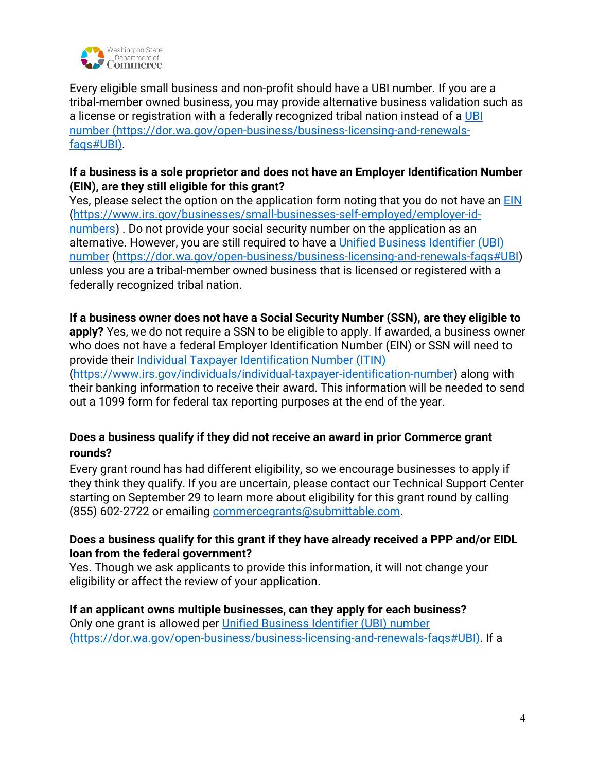

Every eligible small business and non-profit should have a UBI number. If you are a tribal-member owned business, you may provide alternative business validation such as a license or registration with a federally recognized tribal nation instead of a UBI [number](https://dor.wa.gov/open-business/business-licensing-and-renewals-faqs#UBI) (https://dor.wa.gov/open-business/business-licensing-and-renewalsfaqs#UBI).

# **If a business is a sole proprietor and does not have an Employer Identification Number (EIN), are they still eligible for this grant?**

Yes, please select the option on the application form noting that you do not have an [EIN](https://www.irs.gov/businesses/small-businesses-self-employed/employer-id-numbers) [\(https://www.irs.gov/businesses/small-businesses-self-employed/employer-id](https://www.irs.gov/businesses/small-businesses-self-employed/employer-id-numbers)[numbers\)](https://www.irs.gov/businesses/small-businesses-self-employed/employer-id-numbers) . Do not provide your social security number on the application as an alternative. However, you are still required to have a [Unified Business Identifier \(UBI\)](https://dor.wa.gov/open-business/business-licensing-and-renewals-faqs#UBI)  [number \(https://dor.wa.gov/open-business/business-licensing-and-renewals-faqs#UBI\)](https://dor.wa.gov/open-business/business-licensing-and-renewals-faqs#UBI) unless you are a tribal-member owned business that is licensed or registered with a federally recognized tribal nation.

# **If a business owner does not have a Social Security Number (SSN), are they eligible to**

**apply?** Yes, we do not require a SSN to be eligible to apply. If awarded, a business owner who does not have a federal Employer Identification Number (EIN) or SSN will need to provide their [Individual Taxpayer Identification Number \(ITIN\)](https://www.irs.gov/individuals/individual-taxpayer-identification-number)

[\(https://www.irs.gov/individuals/individual-taxpayer-identification-number\)](https://www.irs.gov/individuals/individual-taxpayer-identification-number) along with their banking information to receive their award. This information will be needed to send out a 1099 form for federal tax reporting purposes at the end of the year.

# **Does a business qualify if they did not receive an award in prior Commerce grant rounds?**

Every grant round has had different eligibility, so we encourage businesses to apply if they think they qualify. If you are uncertain, please contact our Technical Support Center starting on September 29 to learn more about eligibility for this grant round by calling (855) 602-2722 or emailing [commercegrants@submittable.com.](mailto:commercegrants@submittable.com)

# **Does a business qualify for this grant if they have already received a PPP and/or EIDL loan from the federal government?**

Yes. Though we ask applicants to provide this information, it will not change your eligibility or affect the review of your application.

# **If an applicant owns multiple businesses, can they apply for each business?**

Only one grant is allowed per [Unified Business Identifier \(UBI\) number](https://dor.wa.gov/open-business/business-licensing-and-renewals-faqs#UBI) (https://dor.wa.gov/open-business/business-licensing-and-renewals-faqs#UBI). If a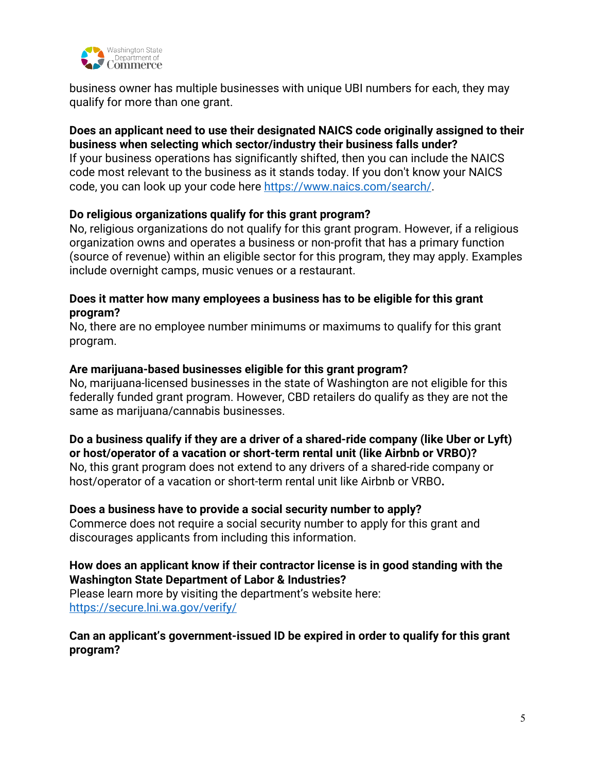

business owner has multiple businesses with unique UBI numbers for each, they may qualify for more than one grant.

### **Does an applicant need to use their designated NAICS code originally assigned to their business when selecting which sector/industry their business falls under?**

If your business operations has significantly shifted, then you can include the NAICS code most relevant to the business as it stands today. If you don't know your NAICS code, you can look up your code here [https://www.naics.com/search/.](https://www.naics.com/search/)

# **Do religious organizations qualify for this grant program?**

No, religious organizations do not qualify for this grant program. However, if a religious organization owns and operates a business or non-profit that has a primary function (source of revenue) within an eligible sector for this program, they may apply. Examples include overnight camps, music venues or a restaurant.

### **Does it matter how many employees a business has to be eligible for this grant program?**

No, there are no employee number minimums or maximums to qualify for this grant program.

### **Are marijuana-based businesses eligible for this grant program?**

No, marijuana-licensed businesses in the state of Washington are not eligible for this federally funded grant program. However, CBD retailers do qualify as they are not the same as marijuana/cannabis businesses.

**Do a business qualify if they are a driver of a shared-ride company (like Uber or Lyft) or host/operator of a vacation or short-term rental unit (like Airbnb or VRBO)?** 

No, this grant program does not extend to any drivers of a shared-ride company or host/operator of a vacation or short-term rental unit like Airbnb or VRBO**.** 

### **Does a business have to provide a social security number to apply?**

Commerce does not require a social security number to apply for this grant and discourages applicants from including this information.

# **How does an applicant know if their contractor license is in good standing with the Washington State Department of Labor & Industries?**

Please learn more by visiting the department's website here: <https://secure.lni.wa.gov/verify/>

# **Can an applicant's government-issued ID be expired in order to qualify for this grant program?**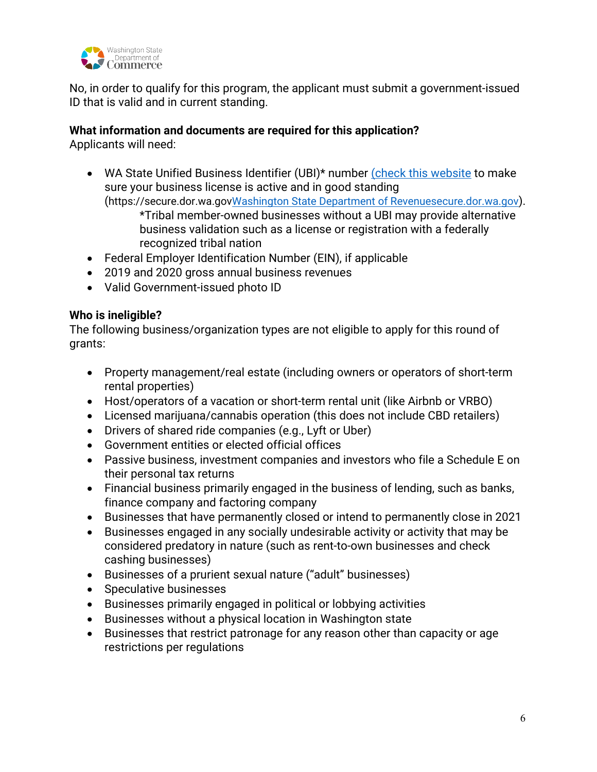

No, in order to qualify for this program, the applicant must submit a government-issued ID that is valid and in current standing.

# **What information and documents are required for this application?**

Applicants will need:

 WA State Unified Business Identifier (UBI)\* number [\(check this website](https://secure.dor.wa.gov/gteunauth/_/) to make sure your business license is active and in good standing (https://secure.dor.wa.go[vWashington State Department of Revenuesecure.dor.wa.gov](https://secure.dor.wa.gov/gteunauth/_/)).

\*Tribal member-owned businesses without a UBI may provide alternative business validation such as a license or registration with a federally recognized tribal nation

- Federal Employer Identification Number (EIN), if applicable
- 2019 and 2020 gross annual business revenues
- Valid Government-issued photo ID

# **Who is ineligible?**

The following business/organization types are not eligible to apply for this round of grants:

- Property management/real estate (including owners or operators of short-term rental properties)
- Host/operators of a vacation or short-term rental unit (like Airbnb or VRBO)
- Licensed marijuana/cannabis operation (this does not include CBD retailers)
- Drivers of shared ride companies (e.g., Lyft or Uber)
- Government entities or elected official offices
- Passive business, investment companies and investors who file a Schedule E on their personal tax returns
- Financial business primarily engaged in the business of lending, such as banks, finance company and factoring company
- Businesses that have permanently closed or intend to permanently close in 2021
- Businesses engaged in any socially undesirable activity or activity that may be considered predatory in nature (such as rent-to-own businesses and check cashing businesses)
- Businesses of a prurient sexual nature ("adult" businesses)
- Speculative businesses
- Businesses primarily engaged in political or lobbying activities
- Businesses without a physical location in Washington state
- Businesses that restrict patronage for any reason other than capacity or age restrictions per regulations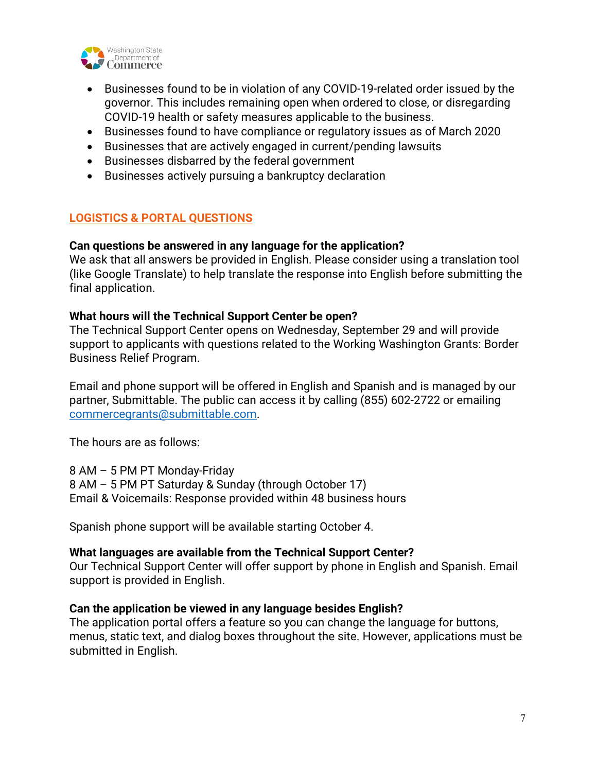

- Businesses found to be in violation of any COVID-19-related order issued by the governor. This includes remaining open when ordered to close, or disregarding COVID-19 health or safety measures applicable to the business.
- Businesses found to have compliance or regulatory issues as of March 2020
- Businesses that are actively engaged in current/pending lawsuits
- Businesses disbarred by the federal government
- Businesses actively pursuing a bankruptcy declaration

# **LOGISTICS & PORTAL QUESTIONS**

### **Can questions be answered in any language for the application?**

We ask that all answers be provided in English. Please consider using a translation tool (like Google Translate) to help translate the response into English before submitting the final application.

# **What hours will the Technical Support Center be open?**

The Technical Support Center opens on Wednesday, September 29 and will provide support to applicants with questions related to the Working Washington Grants: Border Business Relief Program.

Email and phone support will be offered in English and Spanish and is managed by our partner, Submittable. The public can access it by calling (855) 602-2722 or emailing [commercegrants@submittable.com.](mailto:commercegrants@submittable.com)

The hours are as follows:

8 AM – 5 PM PT Monday-Friday 8 AM – 5 PM PT Saturday & Sunday (through October 17) Email & Voicemails: Response provided within 48 business hours

Spanish phone support will be available starting October 4.

# **What languages are available from the Technical Support Center?**

Our Technical Support Center will offer support by phone in English and Spanish. Email support is provided in English.

### **Can the application be viewed in any language besides English?**

The application portal offers a feature so you can change the language for buttons, menus, static text, and dialog boxes throughout the site. However, applications must be submitted in English.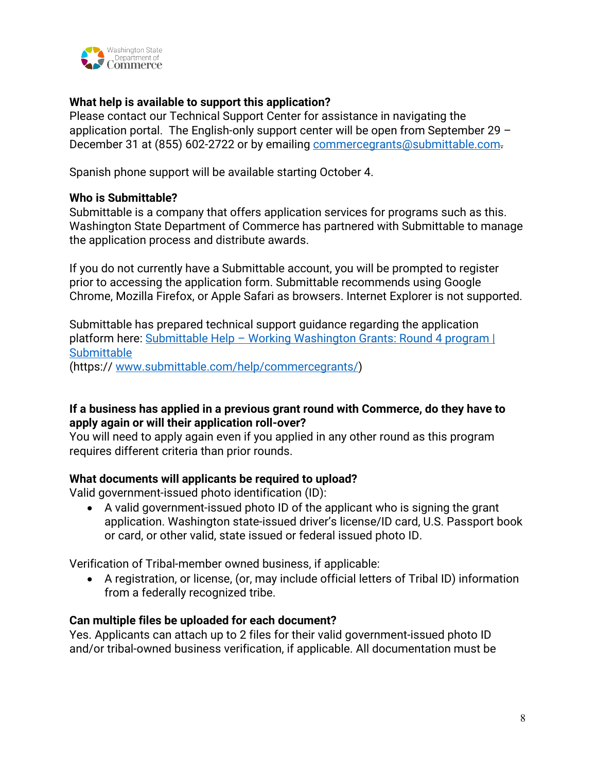

### **What help is available to support this application?**

Please contact our Technical Support Center for assistance in navigating the application portal. The English-only support center will be open from September 29 – December 31 at (855) 602-2722 or by emailing [commercegrants@submittable.com.](mailto:commercegrants@submittable.com)

Spanish phone support will be available starting October 4.

### **Who is Submittable?**

Submittable is a company that offers application services for programs such as this. Washington State Department of Commerce has partnered with Submittable to manage the application process and distribute awards.

If you do not currently have a Submittable account, you will be prompted to register prior to accessing the application form. Submittable recommends using Google Chrome, Mozilla Firefox, or Apple Safari as browsers. Internet Explorer is not supported.

Submittable has prepared technical support guidance regarding the application platform here: [Submittable Help – Working Washington Grants: Round 4 program |](https://www.submittable.com/help/commercegrants/)  **Submittable** (https:// [www.submittable.com/help/commercegrants/\)](http://www.submittable.com/help/commercegrants/)

### **If a business has applied in a previous grant round with Commerce, do they have to apply again or will their application roll-over?**

You will need to apply again even if you applied in any other round as this program requires different criteria than prior rounds.

### **What documents will applicants be required to upload?**

Valid government-issued photo identification (ID):

 A valid government-issued photo ID of the applicant who is signing the grant application. Washington state-issued driver's license/ID card, U.S. Passport book or card, or other valid, state issued or federal issued photo ID.

Verification of Tribal-member owned business, if applicable:

 A registration, or license, (or, may include official letters of Tribal ID) information from a federally recognized tribe.

### **Can multiple files be uploaded for each document?**

Yes. Applicants can attach up to 2 files for their valid government-issued photo ID and/or tribal-owned business verification, if applicable. All documentation must be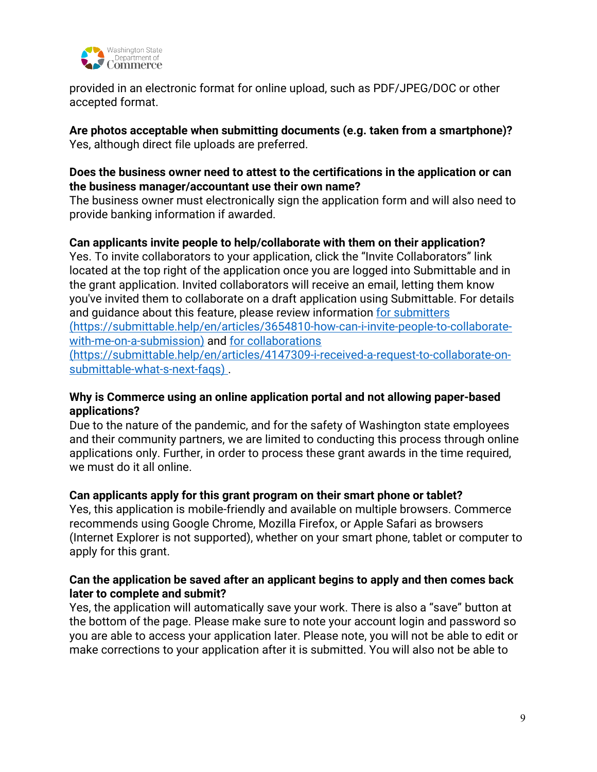

provided in an electronic format for online upload, such as PDF/JPEG/DOC or other accepted format.

**Are photos acceptable when submitting documents (e.g. taken from a smartphone)?** Yes, although direct file uploads are preferred.

# **Does the business owner need to attest to the certifications in the application or can the business manager/accountant use their own name?**

The business owner must electronically sign the application form and will also need to provide banking information if awarded.

# **Can applicants invite people to help/collaborate with them on their application?**

Yes. To invite collaborators to your application, click the "Invite Collaborators" link located at the top right of the application once you are logged into Submittable and in the grant application. Invited collaborators will receive an email, letting them know you've invited them to collaborate on a draft application using Submittable. For details and guidance about this feature, please review information [for submitters](https://gcc02.safelinks.protection.outlook.com/?url=https%3A%2F%2Fsalesloft.submittable.com%2Ft%2F101224%2Fc%2Fbcf878ed-e112-477d-a69d-e9bbd0de2049%2FNB2HI4DTHIXS643VMJWWS5DUMFRGYZJONBSWY4BPMVXC6YLSORUWG3DFOMXTGNRVGQ4DCMBNNBXXOLLDMFXC22JNNFXHM2LUMUWXAZLPOBWGKLLUN4WWG33MNRQWE33SMF2GKLLXNF2GQLLNMUWW63RNMEWXG5LCNVUXG43JN5XA%3D%3D%3D%3D%2Fsubmittable-help-en-articles-3654810-how-can-i-invite-people-to-collaborate&data=04%7C01%7Clynn.fetch%40commerce.wa.gov%7C6bab72d719be49c5e1ff08d8edb17d32%7C11d0e217264e400a8ba057dcc127d72d%7C0%7C0%7C637520693870802748%7CUnknown%7CTWFpbGZsb3d8eyJWIjoiMC4wLjAwMDAiLCJQIjoiV2luMzIiLCJBTiI6Ik1haWwiLCJXVCI6Mn0%3D%7C1000&sdata=eHkfRQ59QZeSXaXbH3jxJf90EedStmKtYIP5oIliri8%3D&reserved=0) (https://submittable.help/en/articles/3654810-how-can-i-invite-people-to-collaboratewith-me-on-a-submission) and [for collaborations](https://gcc02.safelinks.protection.outlook.com/?url=https%3A%2F%2Fsalesloft.submittable.com%2Ft%2F101224%2Fc%2Fbcf878ed-e112-477d-a69d-e9bbd0de2049%2FNB2HI4DTHIXS643VMJWWS5DUMFRGYZJONBSWY4BPMVXC6YLSORUWG3DFOMXTIMJUG4ZTAOJNNEWXEZLDMVUXMZLEFVQS24TFOF2WK43UFV2G6LLDN5WGYYLCN5ZGC5DFFVXW4LLTOVRG22LUORQWE3DFFV3WQYLUFVZS23TFPB2C2ZTBOFZQ%3D%3D%3D%3D%2Fsubmittable-help-en-articles-4147309-i-received-a-request-to-collaborate-on&data=04%7C01%7Clynn.fetch%40commerce.wa.gov%7C6bab72d719be49c5e1ff08d8edb17d32%7C11d0e217264e400a8ba057dcc127d72d%7C0%7C0%7C637520693870802748%7CUnknown%7CTWFpbGZsb3d8eyJWIjoiMC4wLjAwMDAiLCJQIjoiV2luMzIiLCJBTiI6Ik1haWwiLCJXVCI6Mn0%3D%7C1000&sdata=i2tXQF8S4Y5L4%2FhvGI%2FH6kOXziOE9QT2%2BJykLFBZwNE%3D&reserved=0)

(https://submittable.help/en/articles/4147309-i-received-a-request-to-collaborate-onsubmittable-what-s-next-faqs) .

### **Why is Commerce using an online application portal and not allowing paper-based applications?**

Due to the nature of the pandemic, and for the safety of Washington state employees and their community partners, we are limited to conducting this process through online applications only. Further, in order to process these grant awards in the time required, we must do it all online.

# **Can applicants apply for this grant program on their smart phone or tablet?**

Yes, this application is mobile-friendly and available on multiple browsers. Commerce recommends using Google Chrome, Mozilla Firefox, or Apple Safari as browsers (Internet Explorer is not supported), whether on your smart phone, tablet or computer to apply for this grant.

# **Can the application be saved after an applicant begins to apply and then comes back later to complete and submit?**

Yes, the application will automatically save your work. There is also a "save" button at the bottom of the page. Please make sure to note your account login and password so you are able to access your application later. Please note, you will not be able to edit or make corrections to your application after it is submitted. You will also not be able to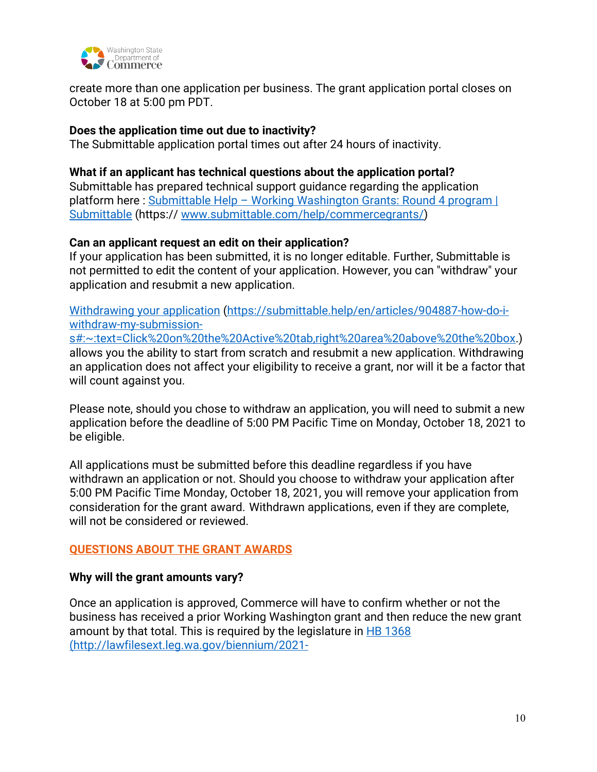

create more than one application per business. The grant application portal closes on October 18 at 5:00 pm PDT.

### **Does the application time out due to inactivity?**

The Submittable application portal times out after 24 hours of inactivity.

# **What if an applicant has technical questions about the application portal?**

Submittable has prepared technical support guidance regarding the application platform here : Submittable Help - Working Washington Grants: Round 4 program | [Submittable](https://www.submittable.com/help/commercegrants/) (https:// [www.submittable.com/help/commercegrants/\)](http://www.submittable.com/help/commercegrants/)

# **Can an applicant request an edit on their application?**

If your application has been submitted, it is no longer editable. Further, Submittable is not permitted to edit the content of your application. However, you can "withdraw" your application and resubmit a new application.

[Withdrawing your application](https://gcc02.safelinks.protection.outlook.com/?url=https%3A%2F%2Fsalesloft.submittable.com%2Ft%2F101224%2Fc%2Faf1d684a-e4e3-4de9-b7c8-66f9e020ba25%2FNB2HI4DTHIXS643VMJWWS5DUMFRGYZJONBSWY4BPMVXC6YLSORUWG3DFOMXTSMBUHA4DOLLIN53S2ZDPFVUS253JORUGI4TBO4WW26JNON2WE3LJONZWS33OFVZSGOT6HJ2GK6DUHVBWY2LDNMSTEMDPNYSTEMDUNBSSKMRQIFRXI2LWMUSTEMDUMFRCY4TJM5UHIJJSGBQXEZLBEUZDAYLCN53GKJJSGB2GQZJFGIYGE33YFY%3D%3D%3D%3D%3D%3D%2Fsubmittable-help-en-articles-904887-how-do-i-withdraw-my-submission-s-23-te&data=04%7C01%7Clynn.fetch%40commerce.wa.gov%7C123293ab9ca349d1140808d8f39d190a%7C11d0e217264e400a8ba057dcc127d72d%7C0%7C0%7C637527203355999153%7CUnknown%7CTWFpbGZsb3d8eyJWIjoiMC4wLjAwMDAiLCJQIjoiV2luMzIiLCJBTiI6Ik1haWwiLCJXVCI6Mn0%3D%7C1000&sdata=kavzVR5xV%2FkVxFnHw%2BmMNa8D3KL04IcNzR%2BhChA%2BOy4%3D&reserved=0) [\(https://submittable.help/en/articles/904887-how-do-i](https://submittable.help/en/articles/904887-how-do-i-withdraw-my-submission-s#:~:text=Click%20on%20the%20Active%20tab,right%20area%20above%20the%20box)[withdraw-my-submission-](https://submittable.help/en/articles/904887-how-do-i-withdraw-my-submission-s#:~:text=Click%20on%20the%20Active%20tab,right%20area%20above%20the%20box)

[s#:~:text=Click%20on%20the%20Active%20tab,right%20area%20above%20the%20box.](https://submittable.help/en/articles/904887-how-do-i-withdraw-my-submission-s#:~:text=Click%20on%20the%20Active%20tab,right%20area%20above%20the%20box)) allows you the ability to start from scratch and resubmit a new application. Withdrawing an application does not affect your eligibility to receive a grant, nor will it be a factor that will count against you.

Please note, should you chose to withdraw an application, you will need to submit a new application before the deadline of 5:00 PM Pacific Time on Monday, October 18, 2021 to be eligible.

All applications must be submitted before this deadline regardless if you have withdrawn an application or not. Should you choose to withdraw your application after 5:00 PM Pacific Time Monday, October 18, 2021, you will remove your application from consideration for the grant award. Withdrawn applications, even if they are complete, will not be considered or reviewed.

# **QUESTIONS ABOUT THE GRANT AWARDS**

### **Why will the grant amounts vary?**

Once an application is approved, Commerce will have to confirm whether or not the business has received a prior Working Washington grant and then reduce the new grant amount by that total. This is required by the legislature in [HB 1368](http://lawfilesext.leg.wa.gov/biennium/2021-22/Pdf/Bills/Session%20Laws/House/1368-S.SL.pdf#page=1) (http://lawfilesext.leg.wa.gov/biennium/2021-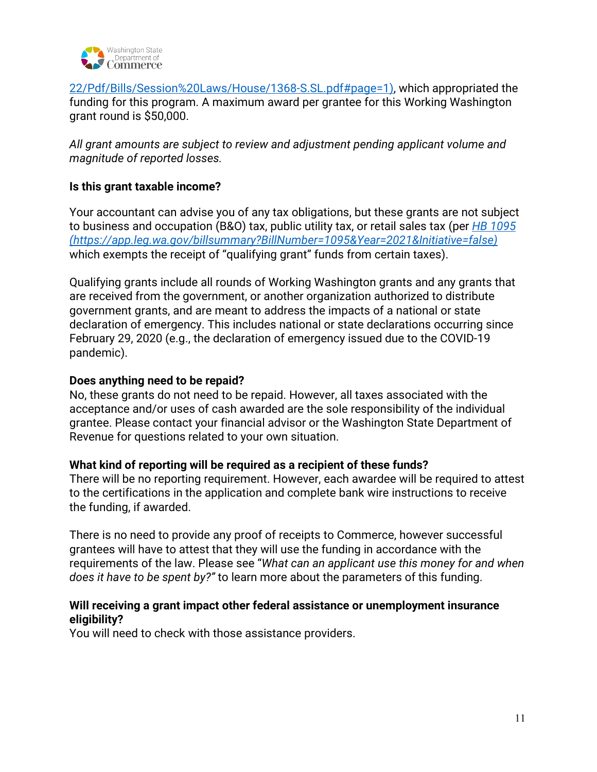

22/Pdf/Bills/Session%20Laws/House/1368-S.SL.pdf#page=1), which appropriated the funding for this program. A maximum award per grantee for this Working Washington grant round is \$50,000.

*All grant amounts are subject to review and adjustment pending applicant volume and magnitude of reported losses.*

# **Is this grant taxable income?**

Your accountant can advise you of any tax obligations, but these grants are not subject to business and occupation (B&O) tax, public utility tax, or retail sales tax (per *[HB 1095](https://app.leg.wa.gov/billsummary?BillNumber=1095&Year=2021&Initiative=false) (https://app.leg.wa.gov/billsummary?BillNumber=1095&Year=2021&Initiative=false)*  which exempts the receipt of "qualifying grant" funds from certain taxes).

Qualifying grants include all rounds of Working Washington grants and any grants that are received from the government, or another organization authorized to distribute government grants, and are meant to address the impacts of a national or state declaration of emergency. This includes national or state declarations occurring since February 29, 2020 (e.g., the declaration of emergency issued due to the COVID-19 pandemic).

#### **Does anything need to be repaid?**

No, these grants do not need to be repaid. However, all taxes associated with the acceptance and/or uses of cash awarded are the sole responsibility of the individual grantee. Please contact your financial advisor or the Washington State Department of Revenue for questions related to your own situation.

### **What kind of reporting will be required as a recipient of these funds?**

There will be no reporting requirement. However, each awardee will be required to attest to the certifications in the application and complete bank wire instructions to receive the funding, if awarded.

There is no need to provide any proof of receipts to Commerce, however successful grantees will have to attest that they will use the funding in accordance with the requirements of the law. Please see "*What can an applicant use this money for and when does it have to be spent by?"* to learn more about the parameters of this funding.

### **Will receiving a grant impact other federal assistance or unemployment insurance eligibility?**

You will need to check with those assistance providers.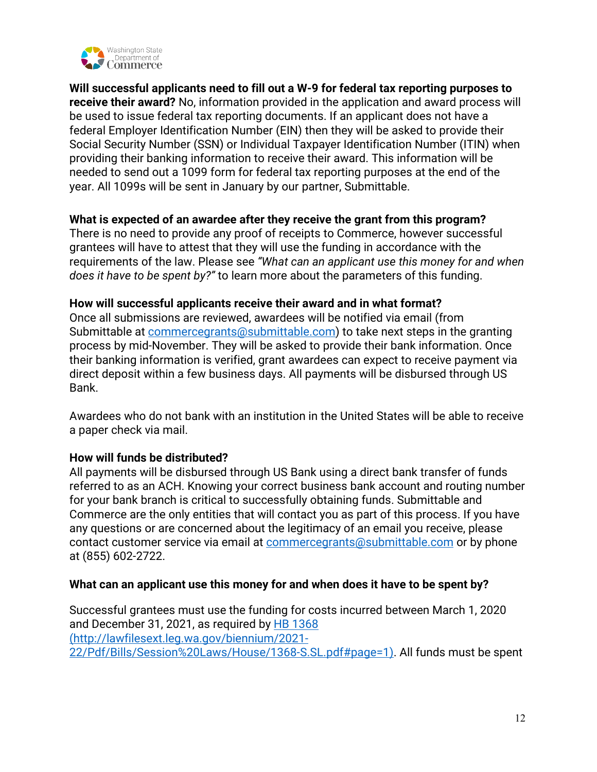

**Will successful applicants need to fill out a W-9 for federal tax reporting purposes to receive their award?** No, information provided in the application and award process will be used to issue federal tax reporting documents. If an applicant does not have a federal Employer Identification Number (EIN) then they will be asked to provide their Social Security Number (SSN) or Individual Taxpayer Identification Number (ITIN) when providing their banking information to receive their award. This information will be needed to send out a 1099 form for federal tax reporting purposes at the end of the year. All 1099s will be sent in January by our partner, Submittable.

### **What is expected of an awardee after they receive the grant from this program?**

There is no need to provide any proof of receipts to Commerce, however successful grantees will have to attest that they will use the funding in accordance with the requirements of the law. Please see *"What can an applicant use this money for and when does it have to be spent by?"* to learn more about the parameters of this funding.

### **How will successful applicants receive their award and in what format?**

Once all submissions are reviewed, awardees will be notified via email (from Submittable at [commercegrants@submittable.com\)](mailto:commercegrants@submittable.com) to take next steps in the granting process by mid-November. They will be asked to provide their bank information. Once their banking information is verified, grant awardees can expect to receive payment via direct deposit within a few business days. All payments will be disbursed through US Bank.

Awardees who do not bank with an institution in the United States will be able to receive a paper check via mail.

# **How will funds be distributed?**

All payments will be disbursed through US Bank using a direct bank transfer of funds referred to as an ACH. Knowing your correct business bank account and routing number for your bank branch is critical to successfully obtaining funds. Submittable and Commerce are the only entities that will contact you as part of this process. If you have any questions or are concerned about the legitimacy of an email you receive, please contact customer service via email at [commercegrants@submittable.com](mailto:commercegrants@submittable.com) or by phone at (855) 602-2722.

### **What can an applicant use this money for and when does it have to be spent by?**

Successful grantees must use the funding for costs incurred between March 1, 2020 and December 31, 2021, as required by [HB 1368](http://lawfilesext.leg.wa.gov/biennium/2021-22/Pdf/Bills/Session%20Laws/House/1368-S.SL.pdf#page=1) (http://lawfilesext.leg.wa.gov/biennium/2021- 22/Pdf/Bills/Session%20Laws/House/1368-S.SL.pdf#page=1). All funds must be spent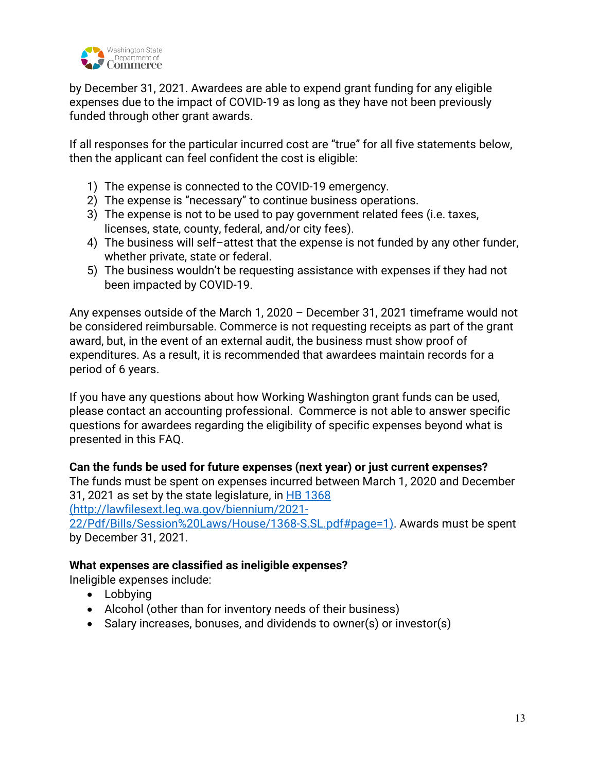

by December 31, 2021. Awardees are able to expend grant funding for any eligible expenses due to the impact of COVID-19 as long as they have not been previously funded through other grant awards.

If all responses for the particular incurred cost are "true" for all five statements below, then the applicant can feel confident the cost is eligible:

- 1) The expense is connected to the COVID-19 emergency.
- 2) The expense is "necessary" to continue business operations.
- 3) The expense is not to be used to pay government related fees (i.e. taxes, licenses, state, county, federal, and/or city fees).
- 4) The business will self–attest that the expense is not funded by any other funder, whether private, state or federal.
- 5) The business wouldn't be requesting assistance with expenses if they had not been impacted by COVID-19.

Any expenses outside of the March 1, 2020 – December 31, 2021 timeframe would not be considered reimbursable. Commerce is not requesting receipts as part of the grant award, but, in the event of an external audit, the business must show proof of expenditures. As a result, it is recommended that awardees maintain records for a period of 6 years.

If you have any questions about how Working Washington grant funds can be used, please contact an accounting professional. Commerce is not able to answer specific questions for awardees regarding the eligibility of specific expenses beyond what is presented in this FAQ.

### **Can the funds be used for future expenses (next year) or just current expenses?**

The funds must be spent on expenses incurred between March 1, 2020 and December 31, 2021 as set by the state legislature, in [HB 1368](http://lawfilesext.leg.wa.gov/biennium/2021-22/Pdf/Bills/Session%20Laws/House/1368-S.SL.pdf#page=1)

(http://lawfilesext.leg.wa.gov/biennium/2021-

22/Pdf/Bills/Session%20Laws/House/1368-S.SL.pdf#page=1). Awards must be spent by December 31, 2021.

### **What expenses are classified as ineligible expenses?**

Ineligible expenses include:

- Lobbying
- Alcohol (other than for inventory needs of their business)
- Salary increases, bonuses, and dividends to owner(s) or investor(s)